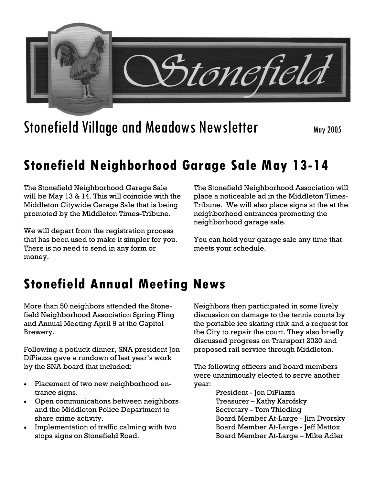

# Stonefield Village and Meadows Newsletter May 2005

## **Stonefield Neighborhood Garage Sale May 13-14**

The Stonefield Neighborhood Garage Sale will be May 13 & 14. This will coincide with the Middleton Citywide Garage Sale that is being promoted by the Middleton Times-Tribune.

We will depart from the registration process that has been used to make it simpler for you. There is no need to send in any form or money.

The Stonefield Neighborhood Association will place a noticeable ad in the Middleton Times-Tribune. We will also place signs at the at the neighborhood entrances promoting the neighborhood garage sale.

You can hold your garage sale any time that meets your schedule.

## **Stonefield Annual Meeting News**

More than 50 neighbors attended the Stonefield Neighborhood Association Spring Fling and Annual Meeting April 9 at the Capitol Brewery.

Following a potluck dinner, SNA president Jon DiPiazza gave a rundown of last year's work by the SNA board that included:

- Placement of two new neighborhood entrance signs.
- Open communications between neighbors and the Middleton Police Department to share crime activity.
- Implementation of traffic calming with two stops signs on Stonefield Road.

Neighbors then participated in some lively discussion on damage to the tennis courts by the portable ice skating rink and a request for the City to repair the court. They also briefly discussed progress on Transport 2020 and proposed rail service through Middleton.

The following officers and board members were unanimously elected to serve another year:

> President - Jon DiPiazza Treasurer – Kathy Karofsky Secretary - Tom Thieding Board Member At-Large - Jim Dvorsky Board Member At-Large - Jeff Mattox Board Member At-Large – Mike Adler